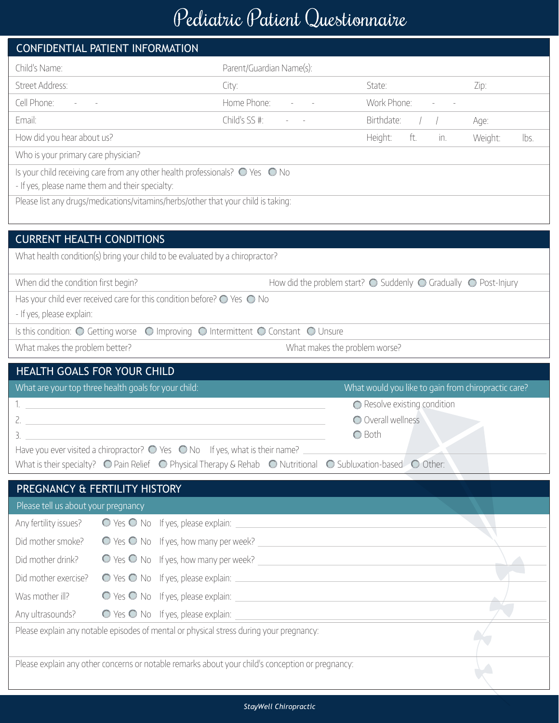## Pediatric Patient Questionnaire

|                                                                                                                  | CONFIDENTIAL PATIENT INFORMATION                                                               |                                                                                                                                                           |                                                                                            |                 |  |  |
|------------------------------------------------------------------------------------------------------------------|------------------------------------------------------------------------------------------------|-----------------------------------------------------------------------------------------------------------------------------------------------------------|--------------------------------------------------------------------------------------------|-----------------|--|--|
| Child's Name:                                                                                                    |                                                                                                | Parent/Guardian Name(s):                                                                                                                                  |                                                                                            |                 |  |  |
| Street Address:                                                                                                  |                                                                                                | City:                                                                                                                                                     | State:                                                                                     | Zip:            |  |  |
| Cell Phone:                                                                                                      |                                                                                                | Home Phone:                                                                                                                                               | Work Phone:                                                                                |                 |  |  |
| Email:                                                                                                           |                                                                                                | Child's SS #:                                                                                                                                             | Birthdate:                                                                                 | Age:            |  |  |
| How did you hear about us?                                                                                       |                                                                                                |                                                                                                                                                           | ft.<br>Height:<br>in.                                                                      | Weight:<br>lbs. |  |  |
| Who is your primary care physician?                                                                              |                                                                                                |                                                                                                                                                           |                                                                                            |                 |  |  |
| Is your child receiving care from any other health professionals? $\bigcirc$ Yes $\bigcirc$ No                   |                                                                                                |                                                                                                                                                           |                                                                                            |                 |  |  |
| - If yes, please name them and their specialty:                                                                  | Please list any drugs/medications/vitamins/herbs/other that your child is taking:              |                                                                                                                                                           |                                                                                            |                 |  |  |
|                                                                                                                  |                                                                                                |                                                                                                                                                           |                                                                                            |                 |  |  |
|                                                                                                                  |                                                                                                |                                                                                                                                                           |                                                                                            |                 |  |  |
| <b>CURRENT HEALTH CONDITIONS</b><br>What health condition(s) bring your child to be evaluated by a chiropractor? |                                                                                                |                                                                                                                                                           |                                                                                            |                 |  |  |
|                                                                                                                  |                                                                                                |                                                                                                                                                           |                                                                                            |                 |  |  |
| When did the condition first begin?                                                                              |                                                                                                |                                                                                                                                                           | How did the problem start? $\bigcirc$ Suddenly $\bigcirc$ Gradually $\bigcirc$ Post-Injury |                 |  |  |
|                                                                                                                  | Has your child ever received care for this condition before? $\bigcirc$ Yes $\bigcirc$ No      |                                                                                                                                                           |                                                                                            |                 |  |  |
| - If yes, please explain:                                                                                        |                                                                                                |                                                                                                                                                           |                                                                                            |                 |  |  |
|                                                                                                                  |                                                                                                | Is this condition: O Getting worse O Improving O Intermittent O Constant O Unsure                                                                         |                                                                                            |                 |  |  |
| What makes the problem better?<br>What makes the problem worse?                                                  |                                                                                                |                                                                                                                                                           |                                                                                            |                 |  |  |
|                                                                                                                  |                                                                                                |                                                                                                                                                           |                                                                                            |                 |  |  |
|                                                                                                                  | HEALTH GOALS FOR YOUR CHILD                                                                    |                                                                                                                                                           |                                                                                            |                 |  |  |
|                                                                                                                  | What are your top three health goals for your child:                                           |                                                                                                                                                           | What would you like to gain from chiropractic care?                                        |                 |  |  |
|                                                                                                                  |                                                                                                |                                                                                                                                                           | ◯ Resolve existing condition                                                               |                 |  |  |
| 3.                                                                                                               |                                                                                                |                                                                                                                                                           | O Overall wellness                                                                         |                 |  |  |
|                                                                                                                  | Have you ever visited a chiropractor? $\bigcirc$ Yes $\bigcirc$ No If yes, what is their name? |                                                                                                                                                           | O Both                                                                                     |                 |  |  |
|                                                                                                                  |                                                                                                | What is their specialty? $\bigcirc$ Pain Relief $\bigcirc$ Physical Therapy & Rehab $\bigcirc$ Nutritional $\bigcirc$ Subluxation-based $\bigcirc$ Other: |                                                                                            |                 |  |  |
|                                                                                                                  | PREGNANCY & FERTILITY HISTORY                                                                  |                                                                                                                                                           |                                                                                            |                 |  |  |
| Please tell us about your pregnancy                                                                              |                                                                                                |                                                                                                                                                           |                                                                                            |                 |  |  |
| Any fertility issues?                                                                                            |                                                                                                |                                                                                                                                                           |                                                                                            |                 |  |  |
| Did mother smoke?                                                                                                |                                                                                                |                                                                                                                                                           |                                                                                            |                 |  |  |
| Did mother drink?                                                                                                |                                                                                                |                                                                                                                                                           |                                                                                            |                 |  |  |
| Did mother exercise?                                                                                             |                                                                                                |                                                                                                                                                           |                                                                                            |                 |  |  |
| Was mother ill?                                                                                                  |                                                                                                |                                                                                                                                                           |                                                                                            |                 |  |  |
| Any ultrasounds?                                                                                                 |                                                                                                |                                                                                                                                                           |                                                                                            |                 |  |  |
|                                                                                                                  |                                                                                                | O Yes O No If yes, please explain:<br>Please explain any notable episodes of mental or physical stress during your pregnancy:                             |                                                                                            |                 |  |  |